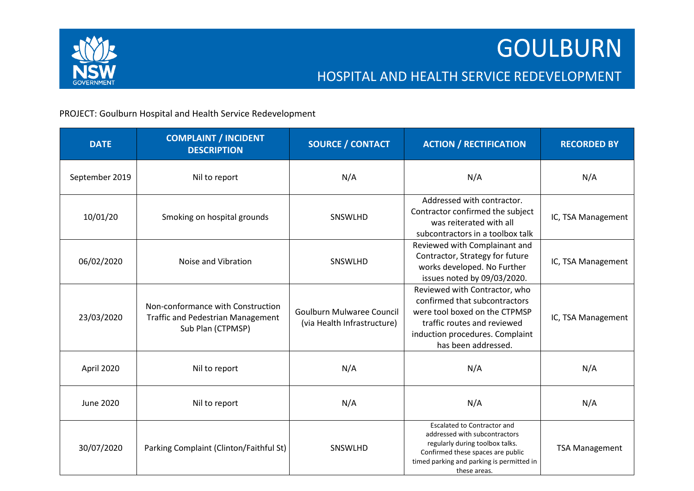

## HOSPITAL AND HEALTH SERVICE REDEVELOPMENT

## PROJECT: Goulburn Hospital and Health Service Redevelopment

| <b>DATE</b>      | <b>COMPLAINT / INCIDENT</b><br><b>DESCRIPTION</b>                                                  | <b>SOURCE / CONTACT</b>                                         | <b>ACTION / RECTIFICATION</b>                                                                                                                                                                            | <b>RECORDED BY</b>    |
|------------------|----------------------------------------------------------------------------------------------------|-----------------------------------------------------------------|----------------------------------------------------------------------------------------------------------------------------------------------------------------------------------------------------------|-----------------------|
| September 2019   | Nil to report                                                                                      | N/A                                                             | N/A                                                                                                                                                                                                      | N/A                   |
| 10/01/20         | Smoking on hospital grounds                                                                        | SNSWLHD                                                         | Addressed with contractor.<br>Contractor confirmed the subject<br>was reiterated with all<br>subcontractors in a toolbox talk                                                                            | IC, TSA Management    |
| 06/02/2020       | Noise and Vibration                                                                                | SNSWLHD                                                         | Reviewed with Complainant and<br>Contractor, Strategy for future<br>works developed. No Further<br>issues noted by 09/03/2020.                                                                           | IC, TSA Management    |
| 23/03/2020       | Non-conformance with Construction<br><b>Traffic and Pedestrian Management</b><br>Sub Plan (CTPMSP) | <b>Goulburn Mulwaree Council</b><br>(via Health Infrastructure) | Reviewed with Contractor, who<br>confirmed that subcontractors<br>were tool boxed on the CTPMSP<br>traffic routes and reviewed<br>induction procedures. Complaint<br>has been addressed.                 | IC, TSA Management    |
| April 2020       | Nil to report                                                                                      | N/A                                                             | N/A                                                                                                                                                                                                      | N/A                   |
| <b>June 2020</b> | Nil to report                                                                                      | N/A                                                             | N/A                                                                                                                                                                                                      | N/A                   |
| 30/07/2020       | Parking Complaint (Clinton/Faithful St)                                                            | <b>SNSWLHD</b>                                                  | <b>Escalated to Contractor and</b><br>addressed with subcontractors<br>regularly during toolbox talks.<br>Confirmed these spaces are public<br>timed parking and parking is permitted in<br>these areas. | <b>TSA Management</b> |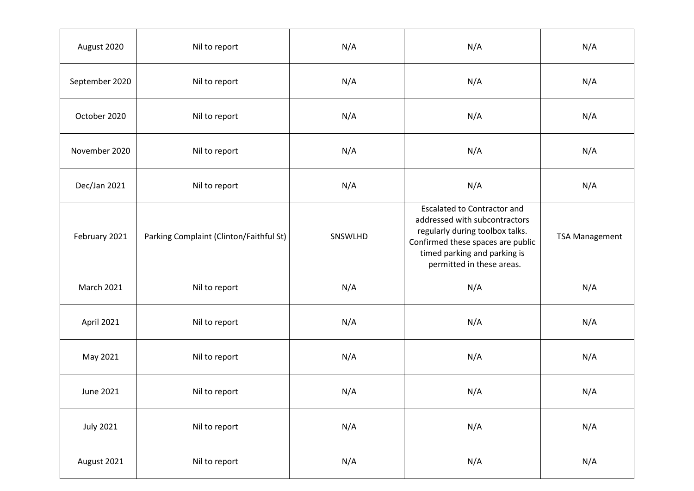| August 2020       | Nil to report                           | N/A     | N/A                                                                                                                                                                                                      | N/A                   |
|-------------------|-----------------------------------------|---------|----------------------------------------------------------------------------------------------------------------------------------------------------------------------------------------------------------|-----------------------|
| September 2020    | Nil to report                           | N/A     | N/A                                                                                                                                                                                                      | N/A                   |
| October 2020      | Nil to report                           | N/A     | N/A                                                                                                                                                                                                      | N/A                   |
| November 2020     | Nil to report                           | N/A     | N/A                                                                                                                                                                                                      | N/A                   |
| Dec/Jan 2021      | Nil to report                           | N/A     | N/A                                                                                                                                                                                                      | N/A                   |
| February 2021     | Parking Complaint (Clinton/Faithful St) | SNSWLHD | <b>Escalated to Contractor and</b><br>addressed with subcontractors<br>regularly during toolbox talks.<br>Confirmed these spaces are public<br>timed parking and parking is<br>permitted in these areas. | <b>TSA Management</b> |
| <b>March 2021</b> | Nil to report                           | N/A     | N/A                                                                                                                                                                                                      | N/A                   |
| April 2021        | Nil to report                           | N/A     | N/A                                                                                                                                                                                                      | N/A                   |
| May 2021          | Nil to report                           | N/A     | N/A                                                                                                                                                                                                      | N/A                   |
| June 2021         | Nil to report                           | N/A     | N/A                                                                                                                                                                                                      | N/A                   |
| <b>July 2021</b>  | Nil to report                           | N/A     | N/A                                                                                                                                                                                                      | N/A                   |
| August 2021       | Nil to report                           | N/A     | N/A                                                                                                                                                                                                      | N/A                   |